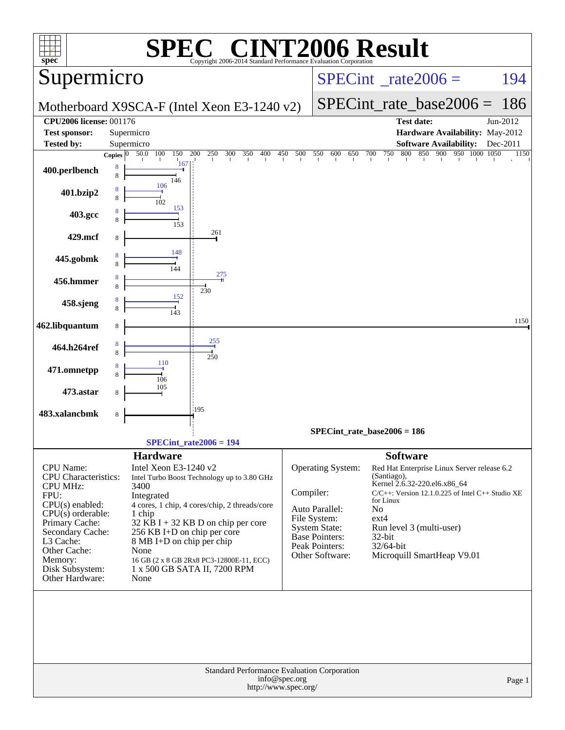| $spec^*$                                                                                                                                                                                                                            | $\left( \mathbb{R}\right)$<br>Copyright 2006-2014 Standard Performance Evaluation Corporation                                                                                                                                                                                                                                                                            | <b>NT2006 Result</b>                                                                                                                                                                                                                                                                                                                                                                                                                             |
|-------------------------------------------------------------------------------------------------------------------------------------------------------------------------------------------------------------------------------------|--------------------------------------------------------------------------------------------------------------------------------------------------------------------------------------------------------------------------------------------------------------------------------------------------------------------------------------------------------------------------|--------------------------------------------------------------------------------------------------------------------------------------------------------------------------------------------------------------------------------------------------------------------------------------------------------------------------------------------------------------------------------------------------------------------------------------------------|
| Supermicro                                                                                                                                                                                                                          |                                                                                                                                                                                                                                                                                                                                                                          | $SPECint^{\circ}$ rate $2006 =$<br>194                                                                                                                                                                                                                                                                                                                                                                                                           |
|                                                                                                                                                                                                                                     | Motherboard X9SCA-F (Intel Xeon E3-1240 v2)                                                                                                                                                                                                                                                                                                                              | $SPECint_rate\_base2006 =$<br>186                                                                                                                                                                                                                                                                                                                                                                                                                |
| <b>CPU2006 license: 001176</b>                                                                                                                                                                                                      |                                                                                                                                                                                                                                                                                                                                                                          | <b>Test date:</b><br>Jun-2012                                                                                                                                                                                                                                                                                                                                                                                                                    |
| <b>Test sponsor:</b>                                                                                                                                                                                                                | Supermicro                                                                                                                                                                                                                                                                                                                                                               | Hardware Availability: May-2012                                                                                                                                                                                                                                                                                                                                                                                                                  |
| <b>Tested by:</b>                                                                                                                                                                                                                   | Supermicro                                                                                                                                                                                                                                                                                                                                                               | Software Availability: Dec-2011                                                                                                                                                                                                                                                                                                                                                                                                                  |
|                                                                                                                                                                                                                                     | 50.0 100<br>$\overline{200}$<br>300<br>350 400<br>Copies $\boxed{0}$<br>150<br>250<br>450                                                                                                                                                                                                                                                                                | $\begin{array}{cccccc} 750 & 800 & 850 & 900 & 950 & 1000 & 1050 \\ & & \vert & \vert & \vert & \vert \end{array}$<br>1150<br>500 550<br>600<br>650<br>700                                                                                                                                                                                                                                                                                       |
| 400.perlbench                                                                                                                                                                                                                       | 167<br>8<br>146                                                                                                                                                                                                                                                                                                                                                          |                                                                                                                                                                                                                                                                                                                                                                                                                                                  |
| 401.bzip2                                                                                                                                                                                                                           | 106<br>102                                                                                                                                                                                                                                                                                                                                                               |                                                                                                                                                                                                                                                                                                                                                                                                                                                  |
| 403.gcc                                                                                                                                                                                                                             | 153<br>153                                                                                                                                                                                                                                                                                                                                                               |                                                                                                                                                                                                                                                                                                                                                                                                                                                  |
| 429.mcf                                                                                                                                                                                                                             | 261<br>8                                                                                                                                                                                                                                                                                                                                                                 |                                                                                                                                                                                                                                                                                                                                                                                                                                                  |
| 445.gobmk                                                                                                                                                                                                                           | 148                                                                                                                                                                                                                                                                                                                                                                      |                                                                                                                                                                                                                                                                                                                                                                                                                                                  |
| 456.hmmer                                                                                                                                                                                                                           | 275<br>230<br>152                                                                                                                                                                                                                                                                                                                                                        |                                                                                                                                                                                                                                                                                                                                                                                                                                                  |
| 458.sjeng                                                                                                                                                                                                                           |                                                                                                                                                                                                                                                                                                                                                                          |                                                                                                                                                                                                                                                                                                                                                                                                                                                  |
| 462.libquantum                                                                                                                                                                                                                      | 8<br>255                                                                                                                                                                                                                                                                                                                                                                 | 1150                                                                                                                                                                                                                                                                                                                                                                                                                                             |
| 464.h264ref                                                                                                                                                                                                                         | 250<br>110                                                                                                                                                                                                                                                                                                                                                               |                                                                                                                                                                                                                                                                                                                                                                                                                                                  |
| 471.omnetpp                                                                                                                                                                                                                         | 106<br>105                                                                                                                                                                                                                                                                                                                                                               |                                                                                                                                                                                                                                                                                                                                                                                                                                                  |
| 473.astar                                                                                                                                                                                                                           | 8<br>195                                                                                                                                                                                                                                                                                                                                                                 |                                                                                                                                                                                                                                                                                                                                                                                                                                                  |
| 483.xalancbmk                                                                                                                                                                                                                       | 8                                                                                                                                                                                                                                                                                                                                                                        |                                                                                                                                                                                                                                                                                                                                                                                                                                                  |
|                                                                                                                                                                                                                                     |                                                                                                                                                                                                                                                                                                                                                                          | $SPECint_rate_base2006 = 186$                                                                                                                                                                                                                                                                                                                                                                                                                    |
|                                                                                                                                                                                                                                     | $SPECint_rate2006 = 194$                                                                                                                                                                                                                                                                                                                                                 |                                                                                                                                                                                                                                                                                                                                                                                                                                                  |
| CPU Name:<br><b>CPU</b> Characteristics:<br><b>CPU MHz:</b><br>FPU:<br>$CPU(s)$ enabled:<br>$CPU(s)$ orderable:<br>Primary Cache:<br>Secondary Cache:<br>L3 Cache:<br>Other Cache:<br>Memory:<br>Disk Subsystem:<br>Other Hardware: | <b>Hardware</b><br>Intel Xeon E3-1240 v2<br>Intel Turbo Boost Technology up to 3.80 GHz<br>3400<br>Integrated<br>4 cores, 1 chip, 4 cores/chip, 2 threads/core<br>1 chip<br>$32$ KB I + 32 KB D on chip per core<br>256 KB I+D on chip per core<br>8 MB I+D on chip per chip<br>None<br>16 GB (2 x 8 GB 2Rx8 PC3-12800E-11, ECC)<br>1 x 500 GB SATA II, 7200 RPM<br>None | <b>Software</b><br>Operating System:<br>Red Hat Enterprise Linux Server release 6.2<br>(Santiago),<br>Kernel 2.6.32-220.el6.x86_64<br>Compiler:<br>$C/C++$ : Version 12.1.0.225 of Intel $C++$ Studio XE<br>for Linux<br>Auto Parallel:<br>No<br>File System:<br>$ext{4}$<br>System State:<br>Run level 3 (multi-user)<br><b>Base Pointers:</b><br>32-bit<br><b>Peak Pointers:</b><br>32/64-bit<br>Other Software:<br>Microquill SmartHeap V9.01 |
|                                                                                                                                                                                                                                     | Standard Performance Evaluation Corporation<br>info@spec.org<br>http://www.spec.org/                                                                                                                                                                                                                                                                                     | Page 1                                                                                                                                                                                                                                                                                                                                                                                                                                           |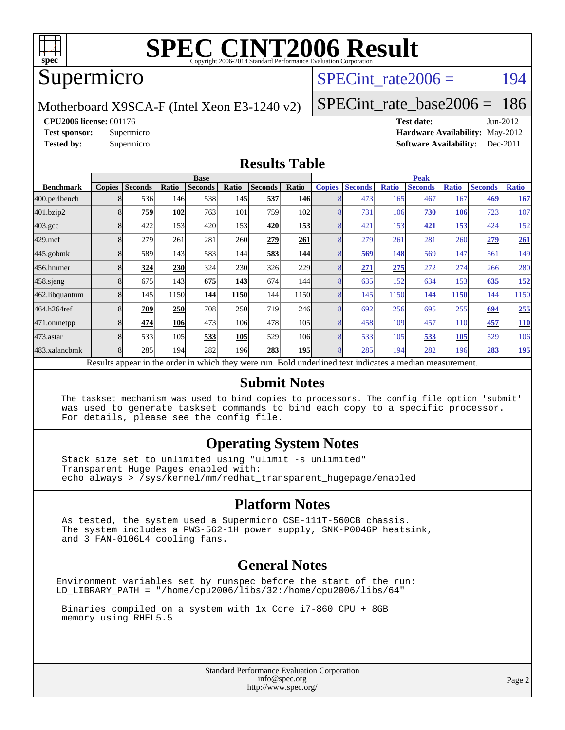

## Supermicro

### SPECint rate $2006 = 194$

Motherboard X9SCA-F (Intel Xeon E3-1240 v2)

[SPECint\\_rate\\_base2006 =](http://www.spec.org/auto/cpu2006/Docs/result-fields.html#SPECintratebase2006) 186

**[CPU2006 license:](http://www.spec.org/auto/cpu2006/Docs/result-fields.html#CPU2006license)** 001176 **[Test date:](http://www.spec.org/auto/cpu2006/Docs/result-fields.html#Testdate)** Jun-2012

**[Test sponsor:](http://www.spec.org/auto/cpu2006/Docs/result-fields.html#Testsponsor)** Supermicro **[Hardware Availability:](http://www.spec.org/auto/cpu2006/Docs/result-fields.html#HardwareAvailability)** May-2012 **[Tested by:](http://www.spec.org/auto/cpu2006/Docs/result-fields.html#Testedby)** Supermicro **Supermicro [Software Availability:](http://www.spec.org/auto/cpu2006/Docs/result-fields.html#SoftwareAvailability)** Dec-2011

#### **[Results Table](http://www.spec.org/auto/cpu2006/Docs/result-fields.html#ResultsTable)**

|                                                                                                          | <b>Base</b>             |                |                  |                |            |                | <b>Peak</b> |               |                |              |                |              |                |              |
|----------------------------------------------------------------------------------------------------------|-------------------------|----------------|------------------|----------------|------------|----------------|-------------|---------------|----------------|--------------|----------------|--------------|----------------|--------------|
| <b>Benchmark</b>                                                                                         | <b>Copies</b>           | <b>Seconds</b> | Ratio            | <b>Seconds</b> | Ratio      | <b>Seconds</b> | Ratio       | <b>Copies</b> | <b>Seconds</b> | <b>Ratio</b> | <b>Seconds</b> | <b>Ratio</b> | <b>Seconds</b> | <b>Ratio</b> |
| 400.perlbench                                                                                            | 8                       | 536            | 146 <sub>l</sub> | 538            | 145        | 537            | <b>146</b>  |               | 473            | 165          | 467            | 167          | 469            | <b>167</b>   |
| 401.bzip2                                                                                                |                         | 759            | 102              | 763            | 101        | 759            | 102         |               | 731            | 106          | 730            | 106          | 723            | 107          |
| $403.\mathrm{gcc}$                                                                                       | 8                       | 422            | 153              | 420            | 153        | 420            | <b>153</b>  | 8             | 421            | 153          | 421            | <u>153</u>   | 424            | 152          |
| $429$ .mcf                                                                                               | 8                       | 279            | 261              | 281            | 260        | 279            | 261         | 8             | 279            | 261          | 281            | 260          | 279            | 261          |
| $445$ .gobmk                                                                                             |                         | 589            | 143              | 583            | 144        | 583            | <b>144</b>  |               | 569            | 148          | 569            | 147          | 561            | 149          |
| 456.hmmer                                                                                                |                         | 324            | 230              | 324            | 230        | 326            | 229         | 8             | 271            | 275          | 272            | 274          | 266            | 280          |
| 458 sjeng                                                                                                | 8                       | 675            | 143              | 675            | <b>143</b> | 674            | 144I        | 8             | 635            | 152          | 634            | 153          | 635            | 152          |
| 462.libquantum                                                                                           | 8                       | 145            | 1150             | 144            | 1150       | 144            | 1150        | 8             | 145            | 1150         | 144            | 1150         | 144            | 1150         |
| 464.h264ref                                                                                              |                         | 709            | 250              | 708            | 250        | 719            | 246         | 8             | 692            | 256          | 695            | 255          | 694            | 255          |
| 471.omnetpp                                                                                              |                         | 474            | 106              | 473            | 106        | 478            | 105         | 8             | 458            | 109          | 457            | 110          | 457            | <u>110</u>   |
| 473.astar                                                                                                | 8                       | 533            | 105              | 533            | <b>105</b> | 529            | 106         | 8             | 533            | 105          | 533            | 105          | 529            | 106          |
| 483.xalancbmk                                                                                            | $\mathsf{\overline{R}}$ | 285            | 194              | 282            | 196        | 283            | <b>195</b>  | 8             | 285            | 194          | 282            | 196          | 283            | <u>195</u>   |
| Results appear in the order in which they were run. Bold underlined text indicates a median measurement. |                         |                |                  |                |            |                |             |               |                |              |                |              |                |              |

#### **[Submit Notes](http://www.spec.org/auto/cpu2006/Docs/result-fields.html#SubmitNotes)**

 The taskset mechanism was used to bind copies to processors. The config file option 'submit' was used to generate taskset commands to bind each copy to a specific processor. For details, please see the config file.

#### **[Operating System Notes](http://www.spec.org/auto/cpu2006/Docs/result-fields.html#OperatingSystemNotes)**

 Stack size set to unlimited using "ulimit -s unlimited" Transparent Huge Pages enabled with: echo always > /sys/kernel/mm/redhat\_transparent\_hugepage/enabled

#### **[Platform Notes](http://www.spec.org/auto/cpu2006/Docs/result-fields.html#PlatformNotes)**

 As tested, the system used a Supermicro CSE-111T-560CB chassis. The system includes a PWS-562-1H power supply, SNK-P0046P heatsink, and 3 FAN-0106L4 cooling fans.

#### **[General Notes](http://www.spec.org/auto/cpu2006/Docs/result-fields.html#GeneralNotes)**

Environment variables set by runspec before the start of the run: LD\_LIBRARY\_PATH = "/home/cpu2006/libs/32:/home/cpu2006/libs/64"

 Binaries compiled on a system with 1x Core i7-860 CPU + 8GB memory using RHEL5.5

> Standard Performance Evaluation Corporation [info@spec.org](mailto:info@spec.org) <http://www.spec.org/>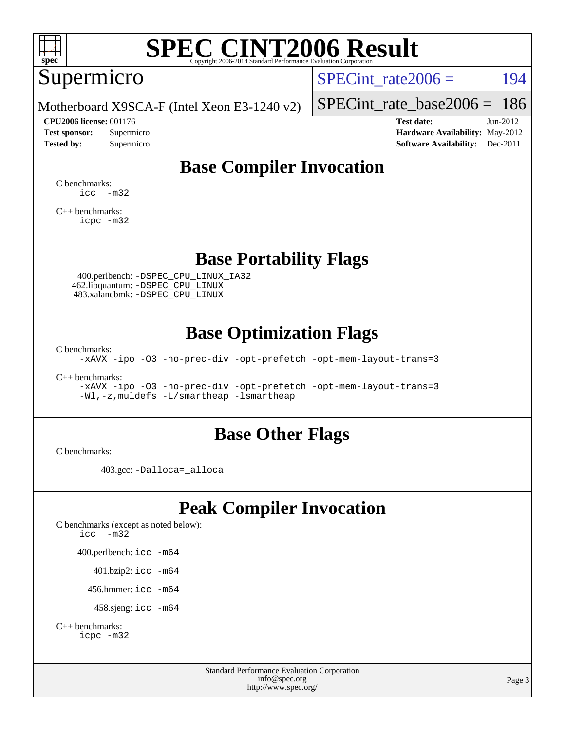

## Supermicro

SPECint rate $2006 =$  194

Motherboard X9SCA-F (Intel Xeon E3-1240 v2)

**[CPU2006 license:](http://www.spec.org/auto/cpu2006/Docs/result-fields.html#CPU2006license)** 001176 **[Test date:](http://www.spec.org/auto/cpu2006/Docs/result-fields.html#Testdate)** Jun-2012

[SPECint\\_rate\\_base2006 =](http://www.spec.org/auto/cpu2006/Docs/result-fields.html#SPECintratebase2006) 186

**[Test sponsor:](http://www.spec.org/auto/cpu2006/Docs/result-fields.html#Testsponsor)** Supermicro **[Hardware Availability:](http://www.spec.org/auto/cpu2006/Docs/result-fields.html#HardwareAvailability)** May-2012 **[Tested by:](http://www.spec.org/auto/cpu2006/Docs/result-fields.html#Testedby)** Supermicro **Supermicro [Software Availability:](http://www.spec.org/auto/cpu2006/Docs/result-fields.html#SoftwareAvailability)** Dec-2011

## **[Base Compiler Invocation](http://www.spec.org/auto/cpu2006/Docs/result-fields.html#BaseCompilerInvocation)**

[C benchmarks](http://www.spec.org/auto/cpu2006/Docs/result-fields.html#Cbenchmarks): [icc -m32](http://www.spec.org/cpu2006/results/res2012q3/cpu2006-20120717-23782.flags.html#user_CCbase_intel_icc_5ff4a39e364c98233615fdd38438c6f2)

[C++ benchmarks:](http://www.spec.org/auto/cpu2006/Docs/result-fields.html#CXXbenchmarks) [icpc -m32](http://www.spec.org/cpu2006/results/res2012q3/cpu2006-20120717-23782.flags.html#user_CXXbase_intel_icpc_4e5a5ef1a53fd332b3c49e69c3330699)

### **[Base Portability Flags](http://www.spec.org/auto/cpu2006/Docs/result-fields.html#BasePortabilityFlags)**

 400.perlbench: [-DSPEC\\_CPU\\_LINUX\\_IA32](http://www.spec.org/cpu2006/results/res2012q3/cpu2006-20120717-23782.flags.html#b400.perlbench_baseCPORTABILITY_DSPEC_CPU_LINUX_IA32) 462.libquantum: [-DSPEC\\_CPU\\_LINUX](http://www.spec.org/cpu2006/results/res2012q3/cpu2006-20120717-23782.flags.html#b462.libquantum_baseCPORTABILITY_DSPEC_CPU_LINUX) 483.xalancbmk: [-DSPEC\\_CPU\\_LINUX](http://www.spec.org/cpu2006/results/res2012q3/cpu2006-20120717-23782.flags.html#b483.xalancbmk_baseCXXPORTABILITY_DSPEC_CPU_LINUX)

## **[Base Optimization Flags](http://www.spec.org/auto/cpu2006/Docs/result-fields.html#BaseOptimizationFlags)**

[C benchmarks](http://www.spec.org/auto/cpu2006/Docs/result-fields.html#Cbenchmarks):

[-xAVX](http://www.spec.org/cpu2006/results/res2012q3/cpu2006-20120717-23782.flags.html#user_CCbase_f-xAVX) [-ipo](http://www.spec.org/cpu2006/results/res2012q3/cpu2006-20120717-23782.flags.html#user_CCbase_f-ipo) [-O3](http://www.spec.org/cpu2006/results/res2012q3/cpu2006-20120717-23782.flags.html#user_CCbase_f-O3) [-no-prec-div](http://www.spec.org/cpu2006/results/res2012q3/cpu2006-20120717-23782.flags.html#user_CCbase_f-no-prec-div) [-opt-prefetch](http://www.spec.org/cpu2006/results/res2012q3/cpu2006-20120717-23782.flags.html#user_CCbase_f-opt-prefetch) [-opt-mem-layout-trans=3](http://www.spec.org/cpu2006/results/res2012q3/cpu2006-20120717-23782.flags.html#user_CCbase_f-opt-mem-layout-trans_a7b82ad4bd7abf52556d4961a2ae94d5)

[C++ benchmarks:](http://www.spec.org/auto/cpu2006/Docs/result-fields.html#CXXbenchmarks)

[-xAVX](http://www.spec.org/cpu2006/results/res2012q3/cpu2006-20120717-23782.flags.html#user_CXXbase_f-xAVX) [-ipo](http://www.spec.org/cpu2006/results/res2012q3/cpu2006-20120717-23782.flags.html#user_CXXbase_f-ipo) [-O3](http://www.spec.org/cpu2006/results/res2012q3/cpu2006-20120717-23782.flags.html#user_CXXbase_f-O3) [-no-prec-div](http://www.spec.org/cpu2006/results/res2012q3/cpu2006-20120717-23782.flags.html#user_CXXbase_f-no-prec-div) [-opt-prefetch](http://www.spec.org/cpu2006/results/res2012q3/cpu2006-20120717-23782.flags.html#user_CXXbase_f-opt-prefetch) [-opt-mem-layout-trans=3](http://www.spec.org/cpu2006/results/res2012q3/cpu2006-20120717-23782.flags.html#user_CXXbase_f-opt-mem-layout-trans_a7b82ad4bd7abf52556d4961a2ae94d5) [-Wl,-z,muldefs](http://www.spec.org/cpu2006/results/res2012q3/cpu2006-20120717-23782.flags.html#user_CXXbase_link_force_multiple1_74079c344b956b9658436fd1b6dd3a8a) [-L/smartheap -lsmartheap](http://www.spec.org/cpu2006/results/res2012q3/cpu2006-20120717-23782.flags.html#user_CXXbase_SmartHeap_7c9e394a5779e1a7fec7c221e123830c)

### **[Base Other Flags](http://www.spec.org/auto/cpu2006/Docs/result-fields.html#BaseOtherFlags)**

[C benchmarks](http://www.spec.org/auto/cpu2006/Docs/result-fields.html#Cbenchmarks):

403.gcc: [-Dalloca=\\_alloca](http://www.spec.org/cpu2006/results/res2012q3/cpu2006-20120717-23782.flags.html#b403.gcc_baseEXTRA_CFLAGS_Dalloca_be3056838c12de2578596ca5467af7f3)

# **[Peak Compiler Invocation](http://www.spec.org/auto/cpu2006/Docs/result-fields.html#PeakCompilerInvocation)**

[C benchmarks \(except as noted below\)](http://www.spec.org/auto/cpu2006/Docs/result-fields.html#Cbenchmarksexceptasnotedbelow): [icc -m32](http://www.spec.org/cpu2006/results/res2012q3/cpu2006-20120717-23782.flags.html#user_CCpeak_intel_icc_5ff4a39e364c98233615fdd38438c6f2) 400.perlbench: [icc -m64](http://www.spec.org/cpu2006/results/res2012q3/cpu2006-20120717-23782.flags.html#user_peakCCLD400_perlbench_intel_icc_64bit_bda6cc9af1fdbb0edc3795bac97ada53) 401.bzip2: [icc -m64](http://www.spec.org/cpu2006/results/res2012q3/cpu2006-20120717-23782.flags.html#user_peakCCLD401_bzip2_intel_icc_64bit_bda6cc9af1fdbb0edc3795bac97ada53)

456.hmmer: [icc -m64](http://www.spec.org/cpu2006/results/res2012q3/cpu2006-20120717-23782.flags.html#user_peakCCLD456_hmmer_intel_icc_64bit_bda6cc9af1fdbb0edc3795bac97ada53)

458.sjeng: [icc -m64](http://www.spec.org/cpu2006/results/res2012q3/cpu2006-20120717-23782.flags.html#user_peakCCLD458_sjeng_intel_icc_64bit_bda6cc9af1fdbb0edc3795bac97ada53)

```
C++ benchmarks: 
    icpc -m32
```
Standard Performance Evaluation Corporation [info@spec.org](mailto:info@spec.org) <http://www.spec.org/>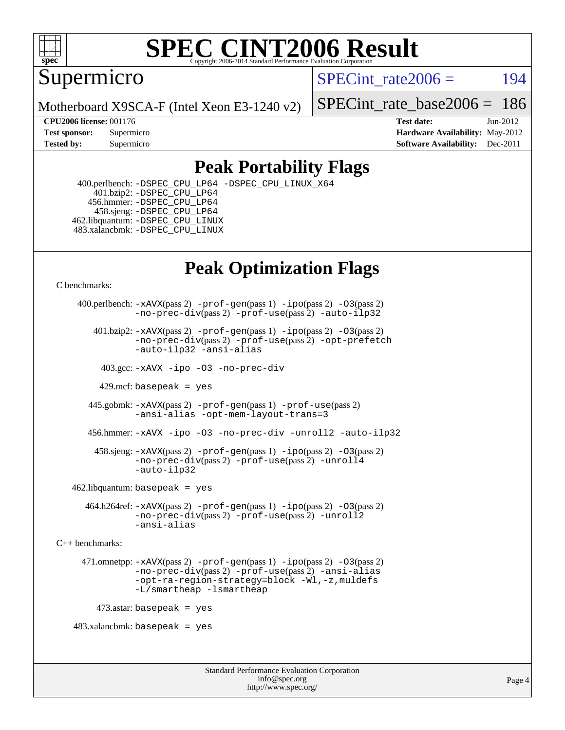

Supermicro

SPECint rate $2006 = 194$ 

Motherboard X9SCA-F (Intel Xeon E3-1240 v2)

[SPECint\\_rate\\_base2006 =](http://www.spec.org/auto/cpu2006/Docs/result-fields.html#SPECintratebase2006) 186

**[CPU2006 license:](http://www.spec.org/auto/cpu2006/Docs/result-fields.html#CPU2006license)** 001176 **[Test date:](http://www.spec.org/auto/cpu2006/Docs/result-fields.html#Testdate)** Jun-2012 **[Test sponsor:](http://www.spec.org/auto/cpu2006/Docs/result-fields.html#Testsponsor)** Supermicro Supermicro **[Hardware Availability:](http://www.spec.org/auto/cpu2006/Docs/result-fields.html#HardwareAvailability)** May-2012 **[Tested by:](http://www.spec.org/auto/cpu2006/Docs/result-fields.html#Testedby)** Supermicro **Supermicro [Software Availability:](http://www.spec.org/auto/cpu2006/Docs/result-fields.html#SoftwareAvailability)** Dec-2011

## **[Peak Portability Flags](http://www.spec.org/auto/cpu2006/Docs/result-fields.html#PeakPortabilityFlags)**

 400.perlbench: [-DSPEC\\_CPU\\_LP64](http://www.spec.org/cpu2006/results/res2012q3/cpu2006-20120717-23782.flags.html#b400.perlbench_peakCPORTABILITY_DSPEC_CPU_LP64) [-DSPEC\\_CPU\\_LINUX\\_X64](http://www.spec.org/cpu2006/results/res2012q3/cpu2006-20120717-23782.flags.html#b400.perlbench_peakCPORTABILITY_DSPEC_CPU_LINUX_X64) 401.bzip2: [-DSPEC\\_CPU\\_LP64](http://www.spec.org/cpu2006/results/res2012q3/cpu2006-20120717-23782.flags.html#suite_peakCPORTABILITY401_bzip2_DSPEC_CPU_LP64) 456.hmmer: [-DSPEC\\_CPU\\_LP64](http://www.spec.org/cpu2006/results/res2012q3/cpu2006-20120717-23782.flags.html#suite_peakCPORTABILITY456_hmmer_DSPEC_CPU_LP64) 458.sjeng: [-DSPEC\\_CPU\\_LP64](http://www.spec.org/cpu2006/results/res2012q3/cpu2006-20120717-23782.flags.html#suite_peakCPORTABILITY458_sjeng_DSPEC_CPU_LP64) 462.libquantum: [-DSPEC\\_CPU\\_LINUX](http://www.spec.org/cpu2006/results/res2012q3/cpu2006-20120717-23782.flags.html#b462.libquantum_peakCPORTABILITY_DSPEC_CPU_LINUX) 483.xalancbmk: [-DSPEC\\_CPU\\_LINUX](http://www.spec.org/cpu2006/results/res2012q3/cpu2006-20120717-23782.flags.html#b483.xalancbmk_peakCXXPORTABILITY_DSPEC_CPU_LINUX)

# **[Peak Optimization Flags](http://www.spec.org/auto/cpu2006/Docs/result-fields.html#PeakOptimizationFlags)**

[C benchmarks](http://www.spec.org/auto/cpu2006/Docs/result-fields.html#Cbenchmarks):

```
 400.perlbench: -xAVX(pass 2) -prof-gen(pass 1) -ipo(pass 2) -O3(pass 2)
                -no-prec-div(pass 2) -prof-use(pass 2) -auto-ilp32
        401.bzip2: -xAVX(pass 2) -prof-gen(pass 1) -ipo(pass 2) -O3(pass 2)
                -no-prec-div(pass 2) -prof-use(pass 2) -opt-prefetch
                -auto-ilp32 -ansi-alias
          403.gcc: -xAVX -ipo -O3 -no-prec-div
         429.mcf: basepeak = yes
       445.gobmk: -xAVX(pass 2) -prof-gen(pass 1) -prof-use(pass 2)
                -ansi-alias -opt-mem-layout-trans=3
       456.hmmer: -xAVX -ipo -O3 -no-prec-div -unroll2 -auto-ilp32
         458.sjeng: -xAVX(pass 2) -prof-gen(pass 1) -ipo(pass 2) -O3(pass 2)
                -no-prec-div(pass 2) -prof-use(pass 2) -unroll4
                -auto-ilp32
   462.libquantum: basepeak = yes
       464.h264ref: -xAVX(pass 2) -prof-gen(pass 1) -ipo(pass 2) -O3(pass 2)
                -no-prec-div(pass 2) -prof-use(pass 2) -unroll2
                -ansi-alias
C++ benchmarks: 
      471.omnetpp: -xAVX(pass 2) -prof-gen(pass 1) -ipo(pass 2) -O3(pass 2)
                -no-prec-div(pass 2) -prof-use(pass 2) -ansi-alias
                -opt-ra-region-strategy=block -Wl,-z,muldefs
                -L/smartheap -lsmartheap
        473.astar: basepeak = yes
   483.xalanchmk: basepeak = yes
```